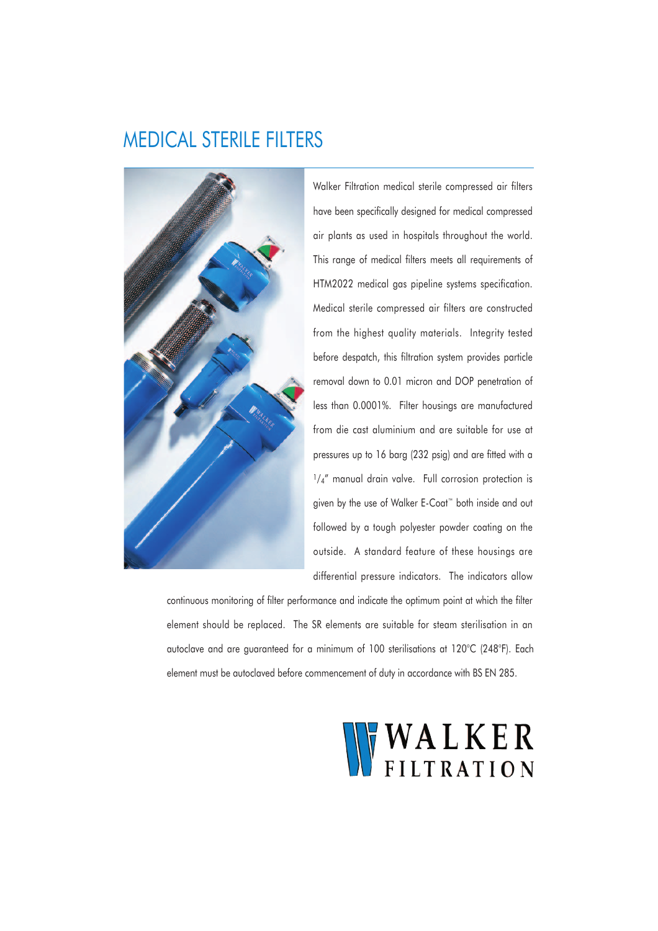## MEDICAL STERILE FILTERS



Walker Filtration medical sterile compressed air filters have been specifically designed for medical compressed air plants as used in hospitals throughout the world. This range of medical filters meets all requirements of HTM2022 medical gas pipeline systems specification. Medical sterile compressed air filters are constructed from the highest quality materials. Integrity tested before despatch, this filtration system provides particle removal down to 0.01 micron and DOP penetration of less than 0.0001%. Filter housings are manufactured from die cast aluminium and are suitable for use at pressures up to 16 barg (232 psig) and are fitted with a  $1/4''$  manual drain valve. Full corrosion protection is given by the use of Walker E-Coat™ both inside and out followed by a tough polyester powder coating on the outside. A standard feature of these housings are differential pressure indicators. The indicators allow

continuous monitoring of filter performance and indicate the optimum point at which the filter element should be replaced. The SR elements are suitable for steam sterilisation in an autoclave and are guaranteed for a minimum of 100 sterilisations at 120°C (248°F). Each element must be autoclaved before commencement of duty in accordance with BS EN 285.